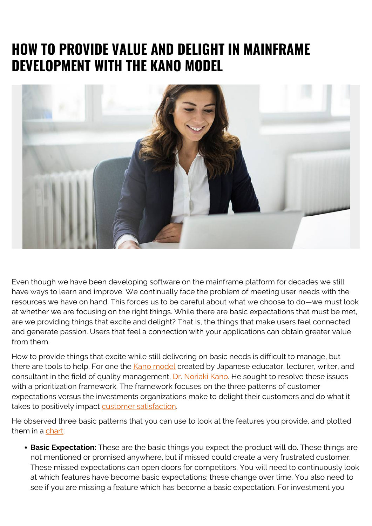## **HOW TO PROVIDE VALUE AND DELIGHT IN MAINFRAME DEVELOPMENT WITH THE KANO MODEL**



Even though we have been developing software on the mainframe platform for decades we still have ways to learn and improve. We continually face the problem of meeting user needs with the resources we have on hand. This forces us to be careful about what we choose to do—we must look at whether we are focusing on the right things. While there are basic expectations that must be met, are we providing things that excite and delight? That is, the things that make users feel connected and generate passion. Users that feel a connection with your applications can obtain greater value from them.

How to provide things that excite while still delivering on basic needs is difficult to manage, but there are tools to help. For one the [Kano model](https://asq.org/quality-resources/kano-model) created by Japanese educator, lecturer, writer, and consultant in the field of quality management, [Dr. Noriaki Kano.](https://en.wikipedia.org/wiki/Noriaki_Kano) He sought to resolve these issues with a prioritization framework. The framework focuses on the three patterns of customer expectations versus the investments organizations make to delight their customers and do what it takes to positively impact [customer satisfaction.](https://asq.org/quality-resources/customer-satisfaction)

He observed three basic patterns that you can use to look at the features you provide, and plotted them in a [chart:](https://asset.uie.com/articles/img/kano_model/kanomodel_5_fullmodel.png)

**Basic Expectation:** These are the basic things you expect the product will do. These things are not mentioned or promised anywhere, but if missed could create a very frustrated customer. These missed expectations can open doors for competitors. You will need to continuously look at which features have become basic expectations; these change over time. You also need to see if you are missing a feature which has become a basic expectation. For investment you